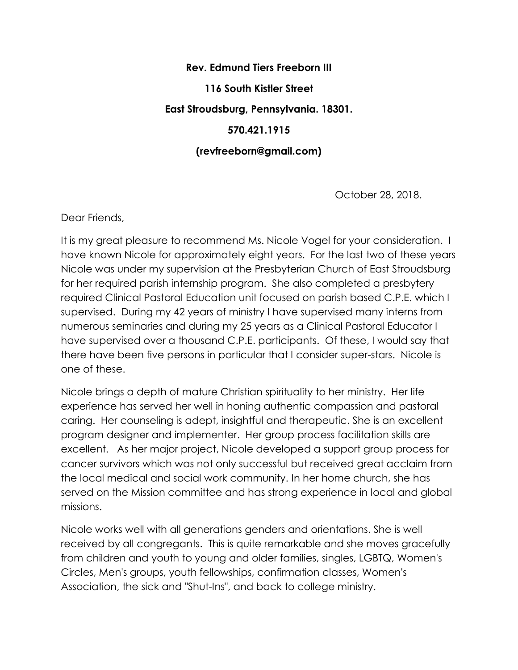## **Rev. Edmund Tiers Freeborn III 116 South Kistler Street East Stroudsburg, Pennsylvania. 18301. 570.421.1915 (revfreeborn@gmail.com)**

October 28, 2018.

Dear Friends,

It is my great pleasure to recommend Ms. Nicole Vogel for your consideration. I have known Nicole for approximately eight years. For the last two of these years Nicole was under my supervision at the Presbyterian Church of East Stroudsburg for her required parish internship program. She also completed a presbytery required Clinical Pastoral Education unit focused on parish based C.P.E. which I supervised. During my 42 years of ministry I have supervised many interns from numerous seminaries and during my 25 years as a Clinical Pastoral Educator I have supervised over a thousand C.P.E. participants. Of these, I would say that there have been five persons in particular that I consider super-stars. Nicole is one of these.

Nicole brings a depth of mature Christian spirituality to her ministry. Her life experience has served her well in honing authentic compassion and pastoral caring. Her counseling is adept, insightful and therapeutic. She is an excellent program designer and implementer. Her group process facilitation skills are excellent. As her major project, Nicole developed a support group process for cancer survivors which was not only successful but received great acclaim from the local medical and social work community. In her home church, she has served on the Mission committee and has strong experience in local and global missions.

Nicole works well with all generations genders and orientations. She is well received by all congregants. This is quite remarkable and she moves gracefully from children and youth to young and older families, singles, LGBTQ, Women's Circles, Men's groups, youth fellowships, confirmation classes, Women's Association, the sick and "Shut-Ins", and back to college ministry.